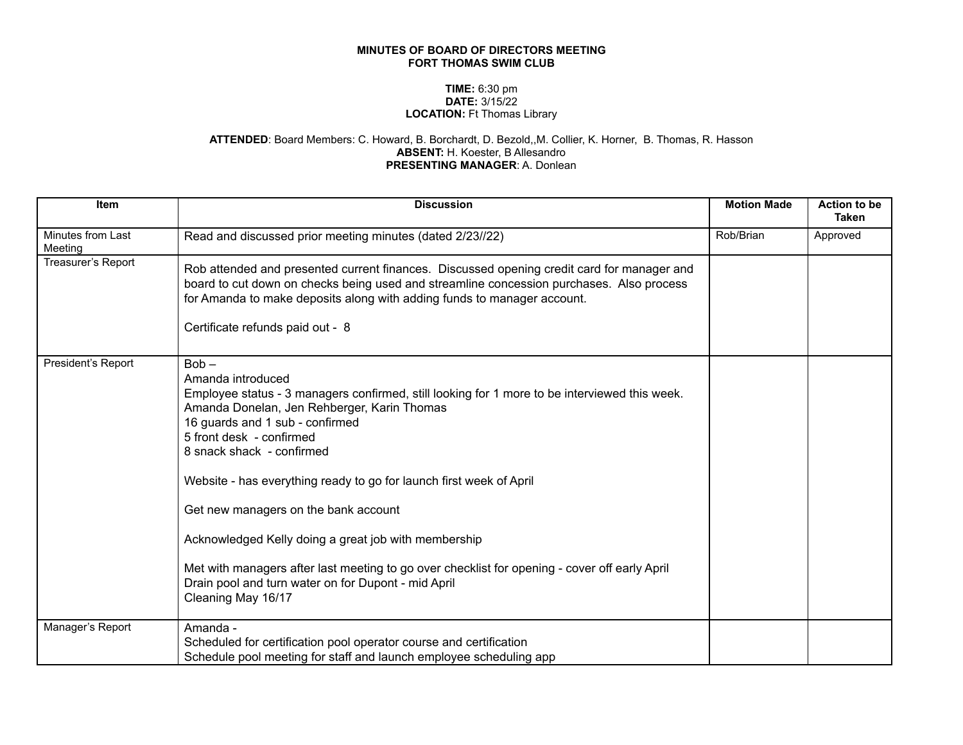## **MINUTES OF BOARD OF DIRECTORS MEETING FORT THOMAS SWIM CLUB**

## **TIME:** 6:30 pm **DATE:** 3/15/22 **LOCATION:** Ft Thomas Library

## **ATTENDED**: Board Members: C. Howard, B. Borchardt, D. Bezold,,M. Collier, K. Horner, B. Thomas, R. Hasson **ABSENT:** H. Koester, B Allesandro **PRESENTING MANAGER**: A. Donlean

| Item                         | <b>Discussion</b>                                                                                                                                                                                                                                                                                                                                                                                                                                                                                                                                                                                                             | <b>Motion Made</b> | Action to be<br><b>Taken</b> |
|------------------------------|-------------------------------------------------------------------------------------------------------------------------------------------------------------------------------------------------------------------------------------------------------------------------------------------------------------------------------------------------------------------------------------------------------------------------------------------------------------------------------------------------------------------------------------------------------------------------------------------------------------------------------|--------------------|------------------------------|
| Minutes from Last<br>Meeting | Read and discussed prior meeting minutes (dated 2/23//22)                                                                                                                                                                                                                                                                                                                                                                                                                                                                                                                                                                     | Rob/Brian          | Approved                     |
| Treasurer's Report           | Rob attended and presented current finances. Discussed opening credit card for manager and<br>board to cut down on checks being used and streamline concession purchases. Also process<br>for Amanda to make deposits along with adding funds to manager account.<br>Certificate refunds paid out - 8                                                                                                                                                                                                                                                                                                                         |                    |                              |
| President's Report           | $Bob -$<br>Amanda introduced<br>Employee status - 3 managers confirmed, still looking for 1 more to be interviewed this week.<br>Amanda Donelan, Jen Rehberger, Karin Thomas<br>16 guards and 1 sub - confirmed<br>5 front desk - confirmed<br>8 snack shack - confirmed<br>Website - has everything ready to go for launch first week of April<br>Get new managers on the bank account<br>Acknowledged Kelly doing a great job with membership<br>Met with managers after last meeting to go over checklist for opening - cover off early April<br>Drain pool and turn water on for Dupont - mid April<br>Cleaning May 16/17 |                    |                              |
| Manager's Report             | Amanda -<br>Scheduled for certification pool operator course and certification<br>Schedule pool meeting for staff and launch employee scheduling app                                                                                                                                                                                                                                                                                                                                                                                                                                                                          |                    |                              |